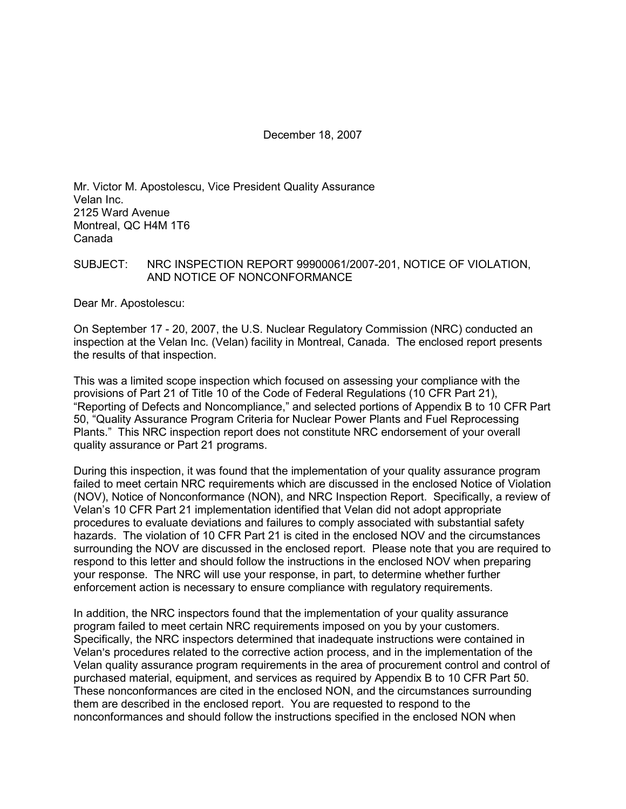December 18, 2007

Mr. Victor M. Apostolescu, Vice President Quality Assurance Velan Inc. 2125 Ward Avenue Montreal, QC H4M 1T6 Canada

### SUBJECT: NRC INSPECTION REPORT 99900061/2007-201, NOTICE OF VIOLATION, AND NOTICE OF NONCONFORMANCE

Dear Mr. Apostolescu:

On September 17 - 20, 2007, the U.S. Nuclear Regulatory Commission (NRC) conducted an inspection at the Velan Inc. (Velan) facility in Montreal, Canada. The enclosed report presents the results of that inspection.

This was a limited scope inspection which focused on assessing your compliance with the provisions of Part 21 of Title 10 of the Code of Federal Regulations (10 CFR Part 21), "Reporting of Defects and Noncompliance," and selected portions of Appendix B to 10 CFR Part 50, "Quality Assurance Program Criteria for Nuclear Power Plants and Fuel Reprocessing Plants." This NRC inspection report does not constitute NRC endorsement of your overall quality assurance or Part 21 programs.

During this inspection, it was found that the implementation of your quality assurance program failed to meet certain NRC requirements which are discussed in the enclosed Notice of Violation (NOV), Notice of Nonconformance (NON), and NRC Inspection Report. Specifically, a review of Velan's 10 CFR Part 21 implementation identified that Velan did not adopt appropriate procedures to evaluate deviations and failures to comply associated with substantial safety hazards. The violation of 10 CFR Part 21 is cited in the enclosed NOV and the circumstances surrounding the NOV are discussed in the enclosed report. Please note that you are required to respond to this letter and should follow the instructions in the enclosed NOV when preparing your response. The NRC will use your response, in part, to determine whether further enforcement action is necessary to ensure compliance with regulatory requirements.

In addition, the NRC inspectors found that the implementation of your quality assurance program failed to meet certain NRC requirements imposed on you by your customers. Specifically, the NRC inspectors determined that inadequate instructions were contained in Velan's procedures related to the corrective action process, and in the implementation of the Velan quality assurance program requirements in the area of procurement control and control of purchased material, equipment, and services as required by Appendix B to 10 CFR Part 50. These nonconformances are cited in the enclosed NON, and the circumstances surrounding them are described in the enclosed report. You are requested to respond to the nonconformances and should follow the instructions specified in the enclosed NON when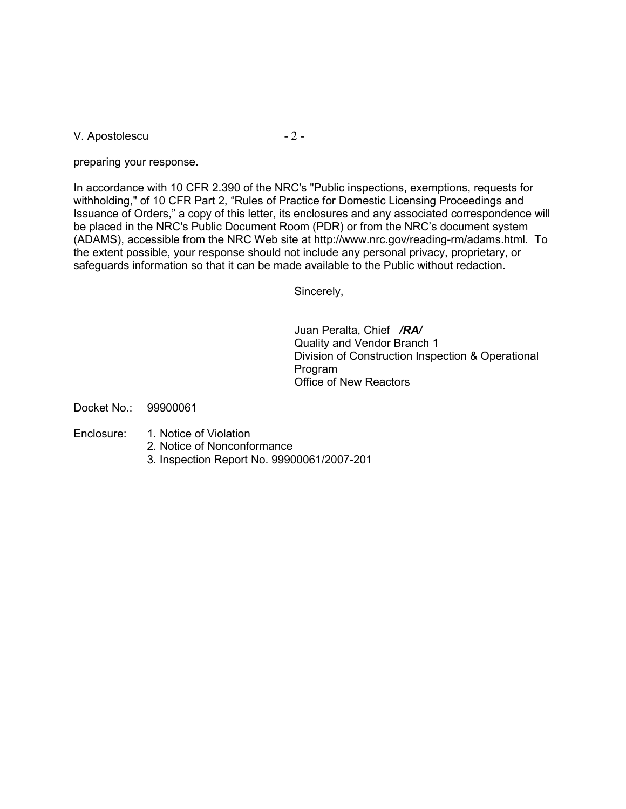V. Apostolescu - 2 -

preparing your response.

In accordance with 10 CFR 2.390 of the NRC's "Public inspections, exemptions, requests for withholding," of 10 CFR Part 2, "Rules of Practice for Domestic Licensing Proceedings and Issuance of Orders," a copy of this letter, its enclosures and any associated correspondence will be placed in the NRC's Public Document Room (PDR) or from the NRC's document system (ADAMS), accessible from the NRC Web site at http://www.nrc.gov/reading-rm/adams.html. To the extent possible, your response should not include any personal privacy, proprietary, or safeguards information so that it can be made available to the Public without redaction.

Sincerely,

Juan Peralta, Chief */RA/* Quality and Vendor Branch 1 Division of Construction Inspection & Operational Program Office of New Reactors

Docket No.: 99900061

- Enclosure: 1. Notice of Violation
	- 2. Notice of Nonconformance
	- 3. Inspection Report No. 99900061/2007-201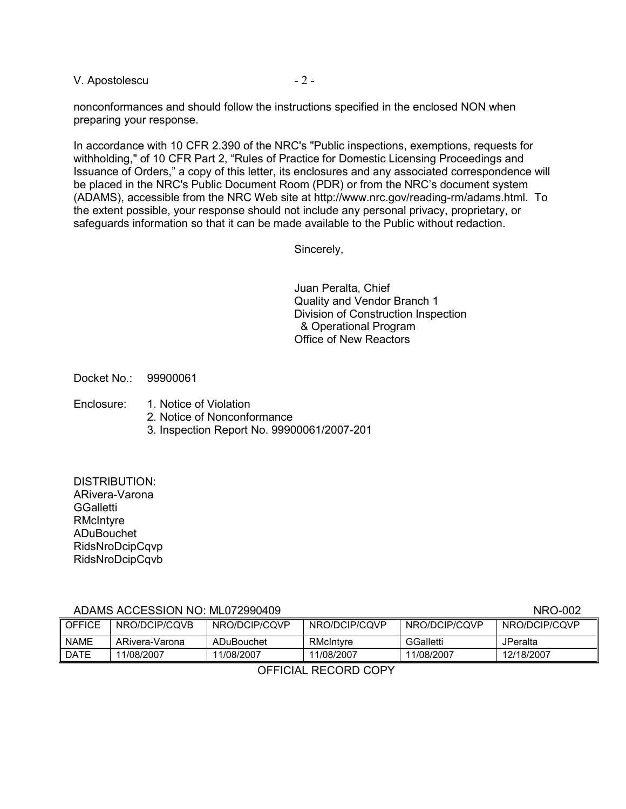V. Apostolescu - 2 -

nonconformances and should follow the instructions specified in the enclosed NON when preparing your response.

In accordance with 10 CFR 2.390 of the NRC's "Public inspections, exemptions, requests for withholding," of 10 CFR Part 2, "Rules of Practice for Domestic Licensing Proceedings and Issuance of Orders," a copy of this letter, its enclosures and any associated correspondence will be placed in the NRC's Public Document Room (PDR) or from the NRC's document system (ADAMS), accessible from the NRC Web site at http://www.nrc.gov/reading-rm/adams.html. To the extent possible, your response should not include any personal privacy, proprietary, or safeguards information so that it can be made available to the Public without redaction.

Sincerely,

Juan Peralta, Chief Quality and Vendor Branch 1 Division of Construction Inspection & Operational Program Office of New Reactors

Docket No.: 99900061

- Enclosure: 1. Notice of Violation
	- 2. Notice of Nonconformance
	- 3. Inspection Report No. 99900061/2007-201

DISTRIBUTION: ARivera-Varona **GGalletti** RMcIntyre ADuBouchet RidsNroDcipCqvp RidsNroDcipCqvb

## ADAMS ACCESSION NO: ML072990409 NRO-002

| ADAMO AOOLOOION NO. MLVI ZJJUTUJ<br>$1$ vi $10$ – $00$ |                |               |               |               |               |
|--------------------------------------------------------|----------------|---------------|---------------|---------------|---------------|
| l OFFICE                                               | NRO/DCIP/CQVB  | NRO/DCIP/CQVP | NRO/DCIP/CQVP | NRO/DCIP/CQVP | NRO/DCIP/CQVP |
| <b>NAME</b>                                            | ARivera-Varona | ADuBouchet    | RMcIntyre     | GGalletti     | JPeralta      |
| ∥ DATE                                                 | 11/08/2007     | 11/08/2007    | 11/08/2007    | 11/08/2007    | 12/18/2007    |

OFFICIAL RECORD COPY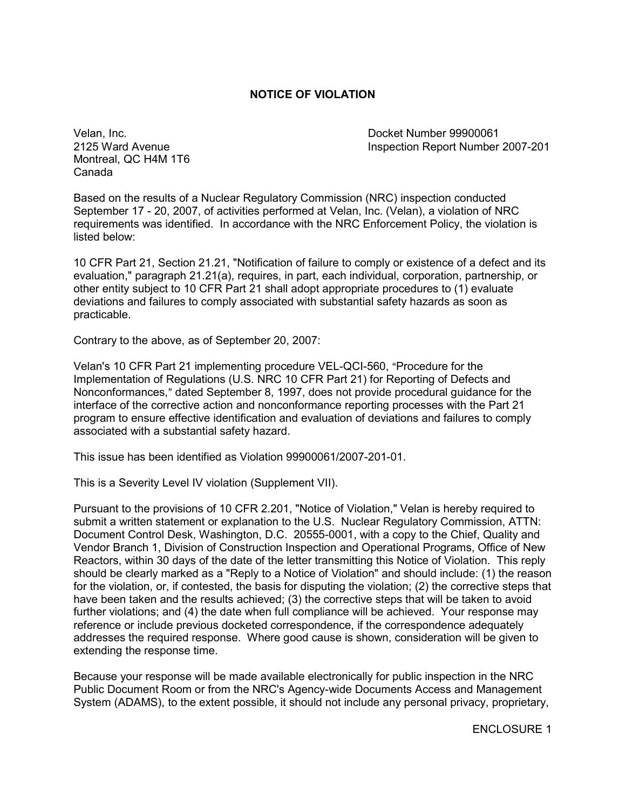## **NOTICE OF VIOLATION**

Montreal, QC H4M 1T6 Canada

Velan, Inc. Docket Number 99900061 Inspection Report Number 2007-201

Based on the results of a Nuclear Regulatory Commission (NRC) inspection conducted September 17 - 20, 2007, of activities performed at Velan, Inc. (Velan), a violation of NRC requirements was identified. In accordance with the NRC Enforcement Policy, the violation is listed below:

10 CFR Part 21, Section 21.21, "Notification of failure to comply or existence of a defect and its evaluation," paragraph 21.21(a), requires, in part, each individual, corporation, partnership, or other entity subject to 10 CFR Part 21 shall adopt appropriate procedures to (1) evaluate deviations and failures to comply associated with substantial safety hazards as soon as practicable.

Contrary to the above, as of September 20, 2007:

Velan's 10 CFR Part 21 implementing procedure VEL-QCI-560, "Procedure for the Implementation of Regulations (U.S. NRC 10 CFR Part 21) for Reporting of Defects and Nonconformances," dated September 8, 1997, does not provide procedural guidance for the interface of the corrective action and nonconformance reporting processes with the Part 21 program to ensure effective identification and evaluation of deviations and failures to comply associated with a substantial safety hazard.

This issue has been identified as Violation 99900061/2007-201-01.

This is a Severity Level IV violation (Supplement VII).

Pursuant to the provisions of 10 CFR 2.201, "Notice of Violation," Velan is hereby required to submit a written statement or explanation to the U.S. Nuclear Regulatory Commission, ATTN: Document Control Desk, Washington, D.C. 20555-0001, with a copy to the Chief, Quality and Vendor Branch 1, Division of Construction Inspection and Operational Programs, Office of New Reactors, within 30 days of the date of the letter transmitting this Notice of Violation. This reply should be clearly marked as a "Reply to a Notice of Violation" and should include: (1) the reason for the violation, or, if contested, the basis for disputing the violation; (2) the corrective steps that have been taken and the results achieved; (3) the corrective steps that will be taken to avoid further violations; and (4) the date when full compliance will be achieved. Your response may reference or include previous docketed correspondence, if the correspondence adequately addresses the required response. Where good cause is shown, consideration will be given to extending the response time.

Because your response will be made available electronically for public inspection in the NRC Public Document Room or from the NRC's Agency-wide Documents Access and Management System (ADAMS), to the extent possible, it should not include any personal privacy, proprietary,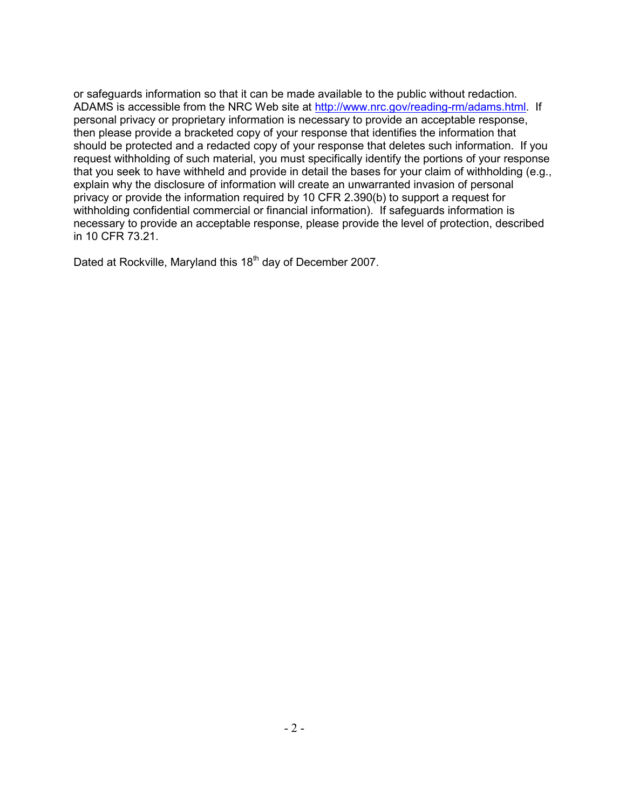or safeguards information so that it can be made available to the public without redaction. ADAMS is accessible from the NRC Web site at http://www.nrc.gov/reading-rm/adams.html. If personal privacy or proprietary information is necessary to provide an acceptable response, then please provide a bracketed copy of your response that identifies the information that should be protected and a redacted copy of your response that deletes such information. If you request withholding of such material, you must specifically identify the portions of your response that you seek to have withheld and provide in detail the bases for your claim of withholding (e.g., explain why the disclosure of information will create an unwarranted invasion of personal privacy or provide the information required by 10 CFR 2.390(b) to support a request for withholding confidential commercial or financial information). If safeguards information is necessary to provide an acceptable response, please provide the level of protection, described in 10 CFR 73.21.

Dated at Rockville, Maryland this 18<sup>th</sup> day of December 2007.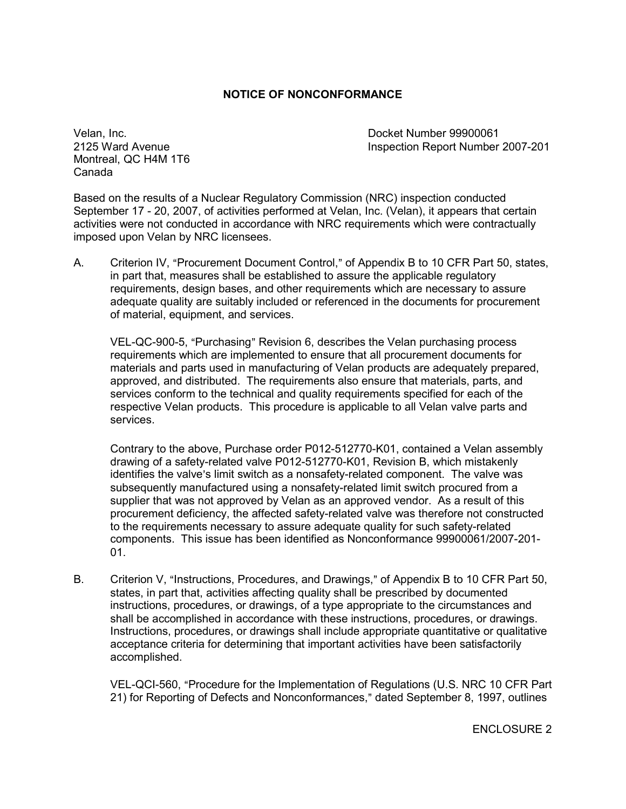### **NOTICE OF NONCONFORMANCE**

Montreal, QC H4M 1T6 Canada

Velan, Inc. Docket Number 99900061 Inspection Report Number 2007-201

Based on the results of a Nuclear Regulatory Commission (NRC) inspection conducted September 17 - 20, 2007, of activities performed at Velan, Inc. (Velan), it appears that certain activities were not conducted in accordance with NRC requirements which were contractually imposed upon Velan by NRC licensees.

A. Criterion IV, "Procurement Document Control," of Appendix B to 10 CFR Part 50, states, in part that, measures shall be established to assure the applicable regulatory requirements, design bases, and other requirements which are necessary to assure adequate quality are suitably included or referenced in the documents for procurement of material, equipment, and services.

VEL-QC-900-5, "Purchasing" Revision 6, describes the Velan purchasing process requirements which are implemented to ensure that all procurement documents for materials and parts used in manufacturing of Velan products are adequately prepared, approved, and distributed. The requirements also ensure that materials, parts, and services conform to the technical and quality requirements specified for each of the respective Velan products. This procedure is applicable to all Velan valve parts and services.

Contrary to the above, Purchase order P012-512770-K01, contained a Velan assembly drawing of a safety-related valve P012-512770-K01, Revision B, which mistakenly identifies the valve's limit switch as a nonsafety-related component. The valve was subsequently manufactured using a nonsafety-related limit switch procured from a supplier that was not approved by Velan as an approved vendor. As a result of this procurement deficiency, the affected safety-related valve was therefore not constructed to the requirements necessary to assure adequate quality for such safety-related components. This issue has been identified as Nonconformance 99900061/2007-201- 01.

B. Criterion V, "Instructions, Procedures, and Drawings," of Appendix B to 10 CFR Part 50, states, in part that, activities affecting quality shall be prescribed by documented instructions, procedures, or drawings, of a type appropriate to the circumstances and shall be accomplished in accordance with these instructions, procedures, or drawings. Instructions, procedures, or drawings shall include appropriate quantitative or qualitative acceptance criteria for determining that important activities have been satisfactorily accomplished.

VEL-QCI-560, "Procedure for the Implementation of Regulations (U.S. NRC 10 CFR Part 21) for Reporting of Defects and Nonconformances," dated September 8, 1997, outlines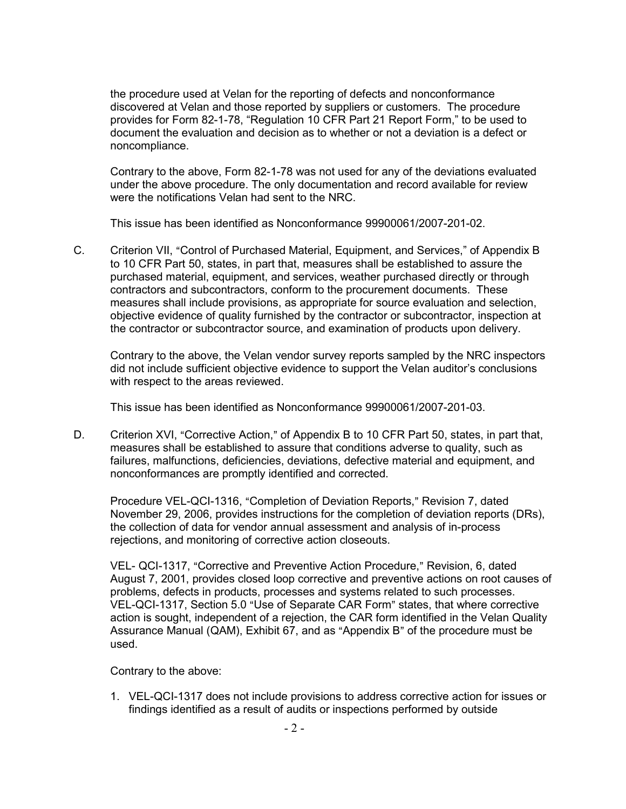the procedure used at Velan for the reporting of defects and nonconformance discovered at Velan and those reported by suppliers or customers. The procedure provides for Form 82-1-78, "Regulation 10 CFR Part 21 Report Form," to be used to document the evaluation and decision as to whether or not a deviation is a defect or noncompliance.

Contrary to the above, Form 82-1-78 was not used for any of the deviations evaluated under the above procedure. The only documentation and record available for review were the notifications Velan had sent to the NRC.

This issue has been identified as Nonconformance 99900061/2007-201-02.

C. Criterion VII, "Control of Purchased Material, Equipment, and Services," of Appendix B to 10 CFR Part 50, states, in part that, measures shall be established to assure the purchased material, equipment, and services, weather purchased directly or through contractors and subcontractors, conform to the procurement documents. These measures shall include provisions, as appropriate for source evaluation and selection, objective evidence of quality furnished by the contractor or subcontractor, inspection at the contractor or subcontractor source, and examination of products upon delivery.

Contrary to the above, the Velan vendor survey reports sampled by the NRC inspectors did not include sufficient objective evidence to support the Velan auditor's conclusions with respect to the areas reviewed.

This issue has been identified as Nonconformance 99900061/2007-201-03.

D. Criterion XVI, "Corrective Action," of Appendix B to 10 CFR Part 50, states, in part that, measures shall be established to assure that conditions adverse to quality, such as failures, malfunctions, deficiencies, deviations, defective material and equipment, and nonconformances are promptly identified and corrected.

Procedure VEL-QCI-1316, "Completion of Deviation Reports," Revision 7, dated November 29, 2006, provides instructions for the completion of deviation reports (DRs), the collection of data for vendor annual assessment and analysis of in-process rejections, and monitoring of corrective action closeouts.

VEL- QCI-1317, "Corrective and Preventive Action Procedure," Revision, 6, dated August 7, 2001, provides closed loop corrective and preventive actions on root causes of problems, defects in products, processes and systems related to such processes. VEL-QCI-1317, Section 5.0 "Use of Separate CAR Form" states, that where corrective action is sought, independent of a rejection, the CAR form identified in the Velan Quality Assurance Manual (QAM), Exhibit 67, and as "Appendix B" of the procedure must be used.

Contrary to the above:

1. VEL-QCI-1317 does not include provisions to address corrective action for issues or findings identified as a result of audits or inspections performed by outside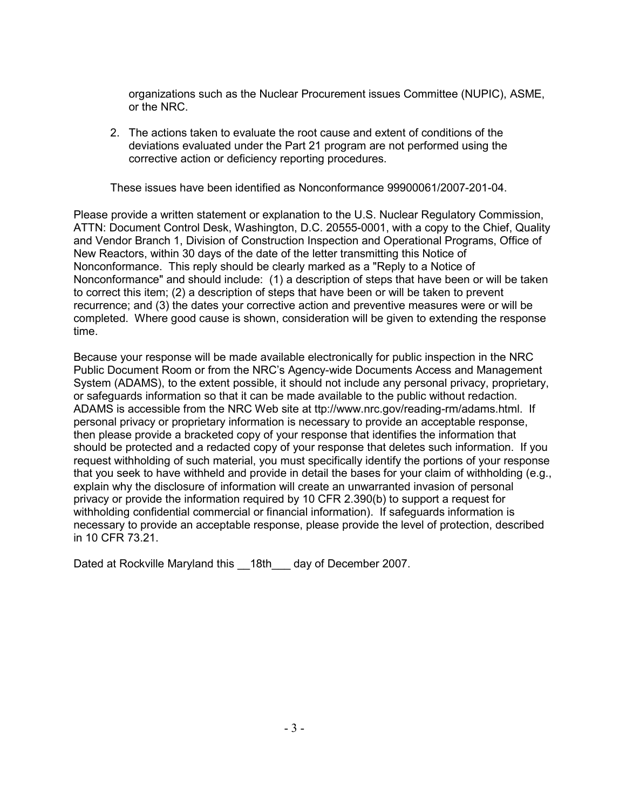organizations such as the Nuclear Procurement issues Committee (NUPIC), ASME, or the NRC.

2. The actions taken to evaluate the root cause and extent of conditions of the deviations evaluated under the Part 21 program are not performed using the corrective action or deficiency reporting procedures.

These issues have been identified as Nonconformance 99900061/2007-201-04.

Please provide a written statement or explanation to the U.S. Nuclear Regulatory Commission, ATTN: Document Control Desk, Washington, D.C. 20555-0001, with a copy to the Chief, Quality and Vendor Branch 1, Division of Construction Inspection and Operational Programs, Office of New Reactors, within 30 days of the date of the letter transmitting this Notice of Nonconformance. This reply should be clearly marked as a "Reply to a Notice of Nonconformance" and should include: (1) a description of steps that have been or will be taken to correct this item; (2) a description of steps that have been or will be taken to prevent recurrence; and (3) the dates your corrective action and preventive measures were or will be completed. Where good cause is shown, consideration will be given to extending the response time.

Because your response will be made available electronically for public inspection in the NRC Public Document Room or from the NRC's Agency-wide Documents Access and Management System (ADAMS), to the extent possible, it should not include any personal privacy, proprietary, or safeguards information so that it can be made available to the public without redaction. ADAMS is accessible from the NRC Web site at ttp://www.nrc.gov/reading-rm/adams.html. If personal privacy or proprietary information is necessary to provide an acceptable response, then please provide a bracketed copy of your response that identifies the information that should be protected and a redacted copy of your response that deletes such information. If you request withholding of such material, you must specifically identify the portions of your response that you seek to have withheld and provide in detail the bases for your claim of withholding (e.g., explain why the disclosure of information will create an unwarranted invasion of personal privacy or provide the information required by 10 CFR 2.390(b) to support a request for withholding confidential commercial or financial information). If safeguards information is necessary to provide an acceptable response, please provide the level of protection, described in 10 CFR 73.21.

Dated at Rockville Maryland this \_\_18th\_\_\_ day of December 2007.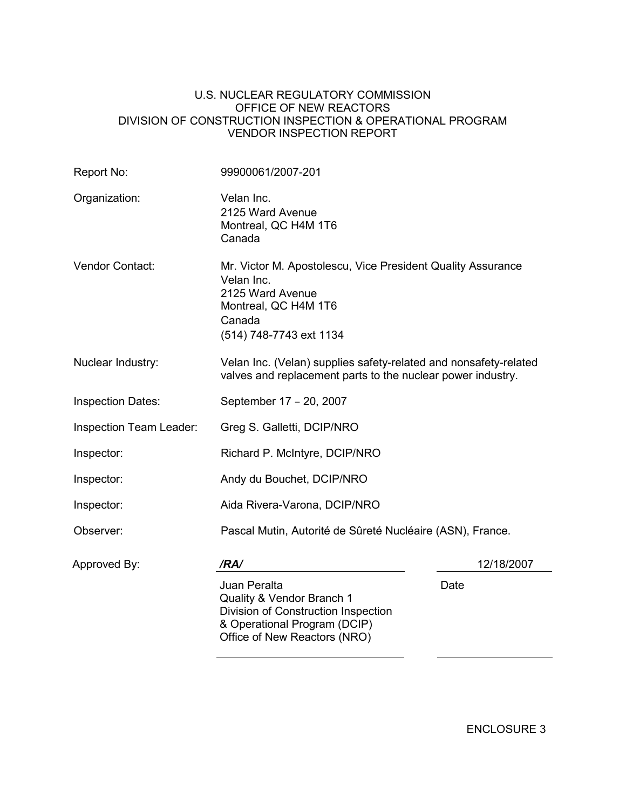#### U.S. NUCLEAR REGULATORY COMMISSION OFFICE OF NEW REACTORS DIVISION OF CONSTRUCTION INSPECTION & OPERATIONAL PROGRAM VENDOR INSPECTION REPORT

| Report No:               | 99900061/2007-201                                                                                                                                          |            |  |  |
|--------------------------|------------------------------------------------------------------------------------------------------------------------------------------------------------|------------|--|--|
| Organization:            | Velan Inc.<br>2125 Ward Avenue<br>Montreal, QC H4M 1T6<br>Canada                                                                                           |            |  |  |
| <b>Vendor Contact:</b>   | Mr. Victor M. Apostolescu, Vice President Quality Assurance<br>Velan Inc.<br>2125 Ward Avenue<br>Montreal, QC H4M 1T6<br>Canada<br>(514) 748-7743 ext 1134 |            |  |  |
| Nuclear Industry:        | Velan Inc. (Velan) supplies safety-related and nonsafety-related<br>valves and replacement parts to the nuclear power industry.                            |            |  |  |
| <b>Inspection Dates:</b> | September 17 - 20, 2007                                                                                                                                    |            |  |  |
| Inspection Team Leader:  | Greg S. Galletti, DCIP/NRO                                                                                                                                 |            |  |  |
| Inspector:               | Richard P. McIntyre, DCIP/NRO                                                                                                                              |            |  |  |
| Inspector:               | Andy du Bouchet, DCIP/NRO                                                                                                                                  |            |  |  |
| Inspector:               | Aida Rivera-Varona, DCIP/NRO                                                                                                                               |            |  |  |
| Observer:                | Pascal Mutin, Autorité de Sûreté Nucléaire (ASN), France.                                                                                                  |            |  |  |
| Approved By:             | /RA/                                                                                                                                                       | 12/18/2007 |  |  |
|                          | Juan Peralta<br>Quality & Vendor Branch 1<br>Division of Construction Inspection<br>& Operational Program (DCIP)<br>Office of New Reactors (NRO)           | Date       |  |  |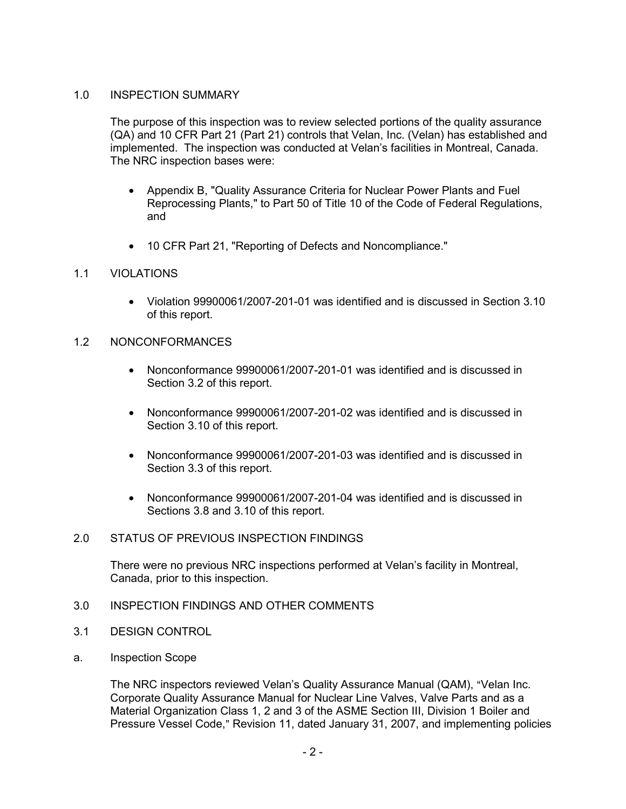## 1.0 INSPECTION SUMMARY

The purpose of this inspection was to review selected portions of the quality assurance (QA) and 10 CFR Part 21 (Part 21) controls that Velan, Inc. (Velan) has established and implemented. The inspection was conducted at Velan's facilities in Montreal, Canada. The NRC inspection bases were:

- Appendix B, "Quality Assurance Criteria for Nuclear Power Plants and Fuel Reprocessing Plants," to Part 50 of Title 10 of the Code of Federal Regulations, and
- 10 CFR Part 21, "Reporting of Defects and Noncompliance."

## 1.1 VIOLATIONS

• Violation 99900061/2007-201-01 was identified and is discussed in Section 3.10 of this report.

### 1.2 NONCONFORMANCES

- Nonconformance 99900061/2007-201-01 was identified and is discussed in Section 3.2 of this report.
- Nonconformance 99900061/2007-201-02 was identified and is discussed in Section 3.10 of this report.
- Nonconformance 99900061/2007-201-03 was identified and is discussed in Section 3.3 of this report.
- Nonconformance 99900061/2007-201-04 was identified and is discussed in Sections 3.8 and 3.10 of this report.

#### 2.0 STATUS OF PREVIOUS INSPECTION FINDINGS

There were no previous NRC inspections performed at Velan's facility in Montreal, Canada, prior to this inspection.

- 3.0 INSPECTION FINDINGS AND OTHER COMMENTS
- 3.1 DESIGN CONTROL
- a. Inspection Scope

The NRC inspectors reviewed Velan's Quality Assurance Manual (QAM), "Velan Inc. Corporate Quality Assurance Manual for Nuclear Line Valves, Valve Parts and as a Material Organization Class 1, 2 and 3 of the ASME Section III, Division 1 Boiler and Pressure Vessel Code," Revision 11, dated January 31, 2007, and implementing policies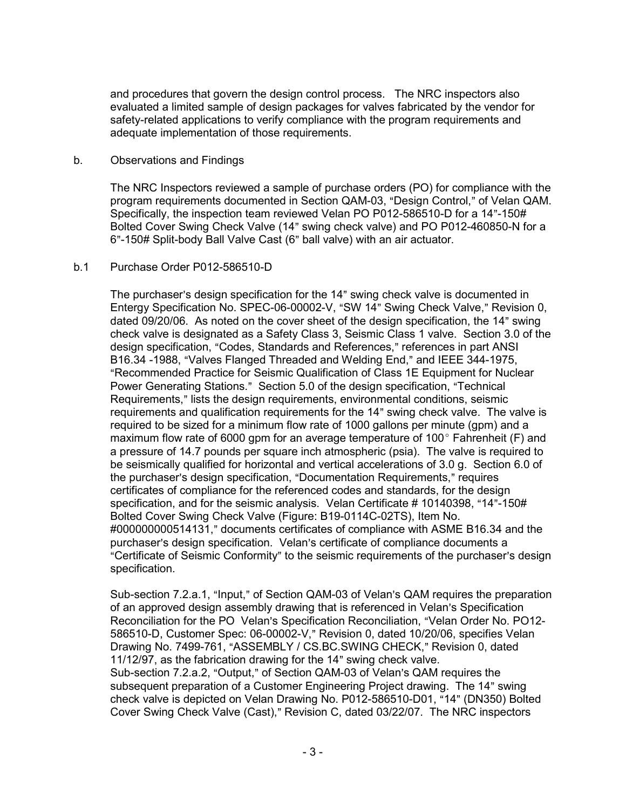and procedures that govern the design control process. The NRC inspectors also evaluated a limited sample of design packages for valves fabricated by the vendor for safety-related applications to verify compliance with the program requirements and adequate implementation of those requirements.

### b. Observations and Findings

The NRC Inspectors reviewed a sample of purchase orders (PO) for compliance with the program requirements documented in Section QAM-03, "Design Control," of Velan QAM. Specifically, the inspection team reviewed Velan PO P012-586510-D for a  $14"$ -150# Bolted Cover Swing Check Valve (14" swing check valve) and PO P012-460850-N for a 6"-150# Split-body Ball Valve Cast (6" ball valve) with an air actuator.

### b.1 Purchase Order P012-586510-D

The purchaser's design specification for the 14" swing check valve is documented in Entergy Specification No. SPEC-06-00002-V, "SW 14" Swing Check Valve," Revision 0, dated 09/20/06. As noted on the cover sheet of the design specification, the 14" swing check valve is designated as a Safety Class 3, Seismic Class 1 valve. Section 3.0 of the design specification, "Codes, Standards and References," references in part ANSI B16.34 -1988, "Valves Flanged Threaded and Welding End," and IEEE 344-1975, "Recommended Practice for Seismic Qualification of Class 1E Equipment for Nuclear Power Generating Stations." Section 5.0 of the design specification, "Technical Requirements," lists the design requirements, environmental conditions, seismic requirements and qualification requirements for the 14" swing check valve. The valve is required to be sized for a minimum flow rate of 1000 gallons per minute (gpm) and a maximum flow rate of 6000 gpm for an average temperature of 100 $^{\circ}$  Fahrenheit (F) and a pressure of 14.7 pounds per square inch atmospheric (psia). The valve is required to be seismically qualified for horizontal and vertical accelerations of 3.0 g. Section 6.0 of the purchaser's design specification, "Documentation Requirements," requires certificates of compliance for the referenced codes and standards, for the design specification, and for the seismic analysis. Velan Certificate  $\#$  10140398, "14"-150 $\#$ Bolted Cover Swing Check Valve (Figure: B19-0114C-02TS), Item No. #000000000514131," documents certificates of compliance with ASME B16.34 and the purchaser's design specification. Velan's certificate of compliance documents a "Certificate of Seismic Conformity" to the seismic requirements of the purchaser's design specification.

Sub-section 7.2.a.1, "Input," of Section QAM-03 of Velan's QAM requires the preparation of an approved design assembly drawing that is referenced in Velan's Specification Reconciliation for the PO Velan's Specification Reconciliation, "Velan Order No. PO12-586510-D, Customer Spec: 06-00002-V," Revision 0, dated 10/20/06, specifies Velan Drawing No. 7499-761, "ASSEMBLY / CS.BC.SWING CHECK," Revision 0, dated 11/12/97, as the fabrication drawing for the 14" swing check valve. Sub-section 7.2.a.2, "Output," of Section QAM-03 of Velan's QAM requires the subsequent preparation of a Customer Engineering Project drawing. The 14" swing check valve is depicted on Velan Drawing No. P012-586510-D01, "14" (DN350) Bolted Cover Swing Check Valve (Cast)," Revision C, dated 03/22/07. The NRC inspectors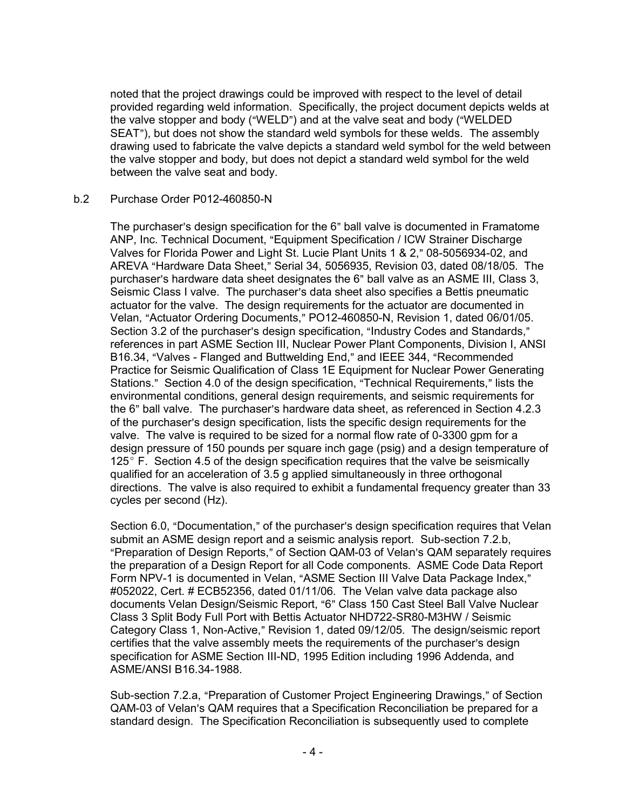noted that the project drawings could be improved with respect to the level of detail provided regarding weld information. Specifically, the project document depicts welds at the valve stopper and body ("WELD") and at the valve seat and body ("WELDED" SEAT"), but does not show the standard weld symbols for these welds. The assembly drawing used to fabricate the valve depicts a standard weld symbol for the weld between the valve stopper and body, but does not depict a standard weld symbol for the weld between the valve seat and body.

### b.2 Purchase Order P012-460850-N

The purchaser's design specification for the 6" ball valve is documented in Framatome ANP, Inc. Technical Document, "Equipment Specification / ICW Strainer Discharge Valves for Florida Power and Light St. Lucie Plant Units 1 & 2," 08-5056934-02, and AREVA "Hardware Data Sheet," Serial 34, 5056935, Revision 03, dated 08/18/05. The purchaser's hardware data sheet designates the 6" ball valve as an ASME III, Class 3, Seismic Class I valve. The purchaser's data sheet also specifies a Bettis pneumatic actuator for the valve. The design requirements for the actuator are documented in Velan, "Actuator Ordering Documents," PO12-460850-N, Revision 1, dated 06/01/05. Section 3.2 of the purchaser's design specification, "Industry Codes and Standards," references in part ASME Section III, Nuclear Power Plant Components, Division I, ANSI B16.34, "Valves - Flanged and Buttwelding End," and IEEE 344, "Recommended Practice for Seismic Qualification of Class 1E Equipment for Nuclear Power Generating Stations." Section 4.0 of the design specification, "Technical Requirements," lists the environmental conditions, general design requirements, and seismic requirements for the 6" ball valve. The purchaser's hardware data sheet, as referenced in Section 4.2.3 of the purchaser's design specification, lists the specific design requirements for the valve. The valve is required to be sized for a normal flow rate of 0-3300 gpm for a design pressure of 150 pounds per square inch gage (psig) and a design temperature of 125 $\degree$  F. Section 4.5 of the design specification requires that the valve be seismically qualified for an acceleration of 3.5 g applied simultaneously in three orthogonal directions. The valve is also required to exhibit a fundamental frequency greater than 33 cycles per second (Hz).

Section 6.0, "Documentation," of the purchaser's design specification requires that Velan submit an ASME design report and a seismic analysis report. Sub-section 7.2.b, "Preparation of Design Reports," of Section QAM-03 of Velan's QAM separately requires the preparation of a Design Report for all Code components. ASME Code Data Report Form NPV-1 is documented in Velan, "ASME Section III Valve Data Package Index," #052022, Cert. # ECB52356, dated 01/11/06. The Velan valve data package also documents Velan Design/Seismic Report, "6" Class 150 Cast Steel Ball Valve Nuclear Class 3 Split Body Full Port with Bettis Actuator NHD722-SR80-M3HW / Seismic Category Class 1, Non-Active," Revision 1, dated 09/12/05. The design/seismic report certifies that the valve assembly meets the requirements of the purchaser's design specification for ASME Section III-ND, 1995 Edition including 1996 Addenda, and ASME/ANSI B16.34-1988.

Sub-section 7.2.a, "Preparation of Customer Project Engineering Drawings," of Section QAM-03 of Velan's QAM requires that a Specification Reconciliation be prepared for a standard design. The Specification Reconciliation is subsequently used to complete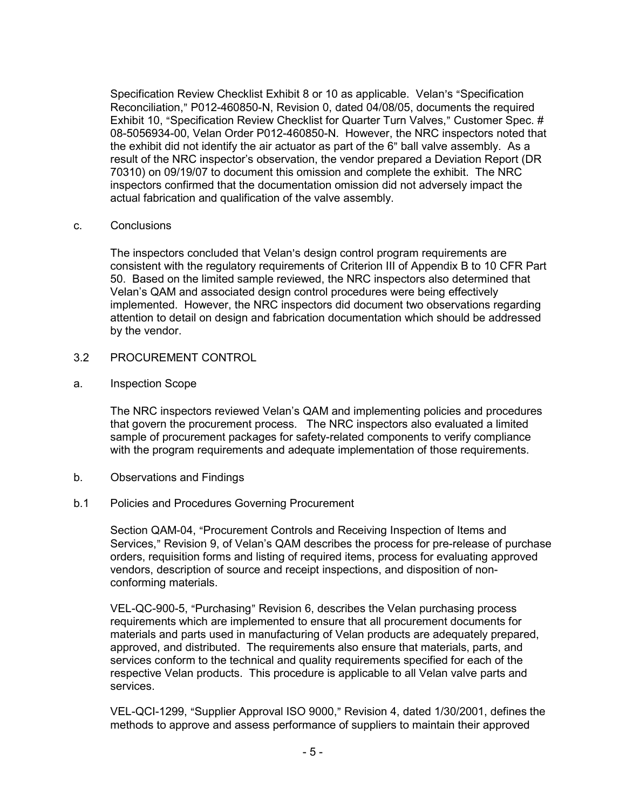Specification Review Checklist Exhibit 8 or 10 as applicable. Velan's "Specification Reconciliation," P012-460850-N, Revision 0, dated 04/08/05, documents the required Exhibit 10, "Specification Review Checklist for Quarter Turn Valves," Customer Spec. # 08-5056934-00, Velan Order P012-460850-N. However, the NRC inspectors noted that the exhibit did not identify the air actuator as part of the 6" ball valve assembly. As a result of the NRC inspector's observation, the vendor prepared a Deviation Report (DR 70310) on 09/19/07 to document this omission and complete the exhibit. The NRC inspectors confirmed that the documentation omission did not adversely impact the actual fabrication and qualification of the valve assembly.

#### c. Conclusions

The inspectors concluded that Velan's design control program requirements are consistent with the regulatory requirements of Criterion III of Appendix B to 10 CFR Part 50. Based on the limited sample reviewed, the NRC inspectors also determined that Velan's QAM and associated design control procedures were being effectively implemented. However, the NRC inspectors did document two observations regarding attention to detail on design and fabrication documentation which should be addressed by the vendor.

### 3.2 PROCUREMENT CONTROL

### a. Inspection Scope

The NRC inspectors reviewed Velan's QAM and implementing policies and procedures that govern the procurement process. The NRC inspectors also evaluated a limited sample of procurement packages for safety-related components to verify compliance with the program requirements and adequate implementation of those requirements.

- b. Observations and Findings
- b.1 Policies and Procedures Governing Procurement

Section QAM-04, "Procurement Controls and Receiving Inspection of Items and Services," Revision 9, of Velan's QAM describes the process for pre-release of purchase orders, requisition forms and listing of required items, process for evaluating approved vendors, description of source and receipt inspections, and disposition of nonconforming materials.

VEL-QC-900-5, "Purchasing" Revision 6, describes the Velan purchasing process requirements which are implemented to ensure that all procurement documents for materials and parts used in manufacturing of Velan products are adequately prepared, approved, and distributed. The requirements also ensure that materials, parts, and services conform to the technical and quality requirements specified for each of the respective Velan products. This procedure is applicable to all Velan valve parts and services.

VEL-QCI-1299, "Supplier Approval ISO 9000," Revision 4, dated 1/30/2001, defines the methods to approve and assess performance of suppliers to maintain their approved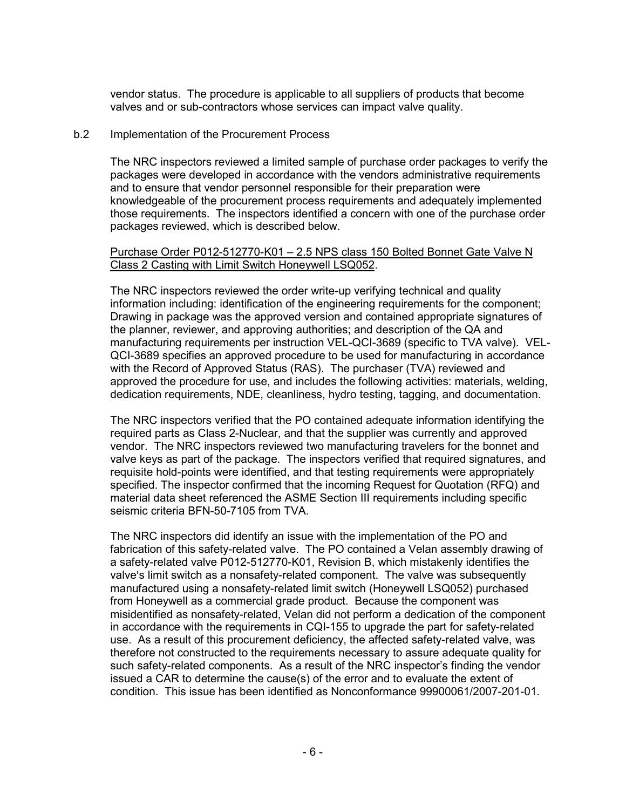vendor status. The procedure is applicable to all suppliers of products that become valves and or sub-contractors whose services can impact valve quality.

### b.2 Implementation of the Procurement Process

The NRC inspectors reviewed a limited sample of purchase order packages to verify the packages were developed in accordance with the vendors administrative requirements and to ensure that vendor personnel responsible for their preparation were knowledgeable of the procurement process requirements and adequately implemented those requirements. The inspectors identified a concern with one of the purchase order packages reviewed, which is described below.

### Purchase Order P012-512770-K01 – 2.5 NPS class 150 Bolted Bonnet Gate Valve N Class 2 Casting with Limit Switch Honeywell LSQ052.

The NRC inspectors reviewed the order write-up verifying technical and quality information including: identification of the engineering requirements for the component; Drawing in package was the approved version and contained appropriate signatures of the planner, reviewer, and approving authorities; and description of the QA and manufacturing requirements per instruction VEL-QCI-3689 (specific to TVA valve). VEL-QCI-3689 specifies an approved procedure to be used for manufacturing in accordance with the Record of Approved Status (RAS). The purchaser (TVA) reviewed and approved the procedure for use, and includes the following activities: materials, welding, dedication requirements, NDE, cleanliness, hydro testing, tagging, and documentation.

The NRC inspectors verified that the PO contained adequate information identifying the required parts as Class 2-Nuclear, and that the supplier was currently and approved vendor. The NRC inspectors reviewed two manufacturing travelers for the bonnet and valve keys as part of the package. The inspectors verified that required signatures, and requisite hold-points were identified, and that testing requirements were appropriately specified. The inspector confirmed that the incoming Request for Quotation (RFQ) and material data sheet referenced the ASME Section III requirements including specific seismic criteria BFN-50-7105 from TVA.

The NRC inspectors did identify an issue with the implementation of the PO and fabrication of this safety-related valve. The PO contained a Velan assembly drawing of a safety-related valve P012-512770-K01, Revision B, which mistakenly identifies the valve's limit switch as a nonsafety-related component. The valve was subsequently manufactured using a nonsafety-related limit switch (Honeywell LSQ052) purchased from Honeywell as a commercial grade product. Because the component was misidentified as nonsafety-related, Velan did not perform a dedication of the component in accordance with the requirements in CQI-155 to upgrade the part for safety-related use. As a result of this procurement deficiency, the affected safety-related valve, was therefore not constructed to the requirements necessary to assure adequate quality for such safety-related components. As a result of the NRC inspector's finding the vendor issued a CAR to determine the cause(s) of the error and to evaluate the extent of condition. This issue has been identified as Nonconformance 99900061/2007-201-01.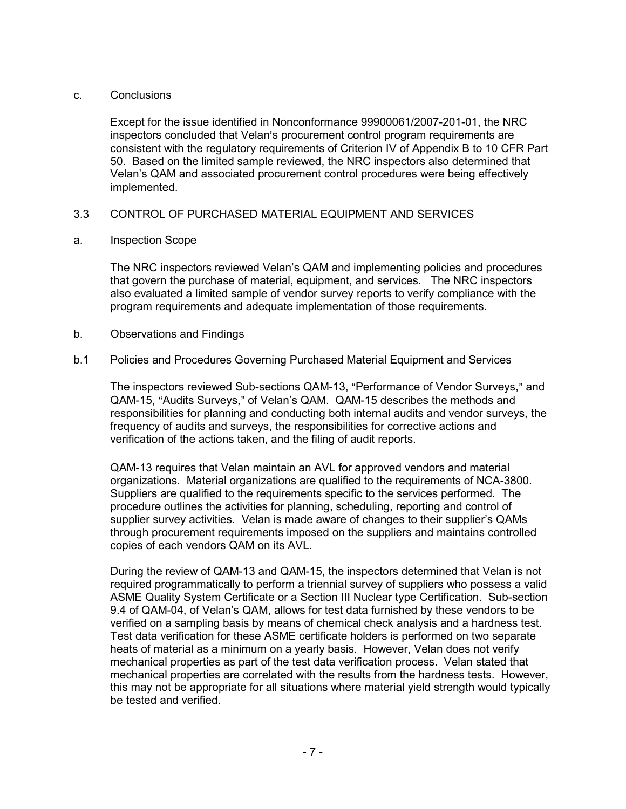### c. Conclusions

Except for the issue identified in Nonconformance 99900061/2007-201-01, the NRC inspectors concluded that Velan's procurement control program requirements are consistent with the regulatory requirements of Criterion IV of Appendix B to 10 CFR Part 50. Based on the limited sample reviewed, the NRC inspectors also determined that Velan's QAM and associated procurement control procedures were being effectively implemented.

## 3.3 CONTROL OF PURCHASED MATERIAL EQUIPMENT AND SERVICES

a. Inspection Scope

The NRC inspectors reviewed Velan's QAM and implementing policies and procedures that govern the purchase of material, equipment, and services. The NRC inspectors also evaluated a limited sample of vendor survey reports to verify compliance with the program requirements and adequate implementation of those requirements.

- b. Observations and Findings
- b.1 Policies and Procedures Governing Purchased Material Equipment and Services

The inspectors reviewed Sub-sections QAM-13, "Performance of Vendor Surveys," and QAM-15, "Audits Surveys," of Velan's QAM. QAM-15 describes the methods and responsibilities for planning and conducting both internal audits and vendor surveys, the frequency of audits and surveys, the responsibilities for corrective actions and verification of the actions taken, and the filing of audit reports.

QAM-13 requires that Velan maintain an AVL for approved vendors and material organizations. Material organizations are qualified to the requirements of NCA-3800. Suppliers are qualified to the requirements specific to the services performed. The procedure outlines the activities for planning, scheduling, reporting and control of supplier survey activities. Velan is made aware of changes to their supplier's QAMs through procurement requirements imposed on the suppliers and maintains controlled copies of each vendors QAM on its AVL.

During the review of QAM-13 and QAM-15, the inspectors determined that Velan is not required programmatically to perform a triennial survey of suppliers who possess a valid ASME Quality System Certificate or a Section III Nuclear type Certification. Sub-section 9.4 of QAM-04, of Velan's QAM, allows for test data furnished by these vendors to be verified on a sampling basis by means of chemical check analysis and a hardness test. Test data verification for these ASME certificate holders is performed on two separate heats of material as a minimum on a yearly basis. However, Velan does not verify mechanical properties as part of the test data verification process. Velan stated that mechanical properties are correlated with the results from the hardness tests. However, this may not be appropriate for all situations where material yield strength would typically be tested and verified.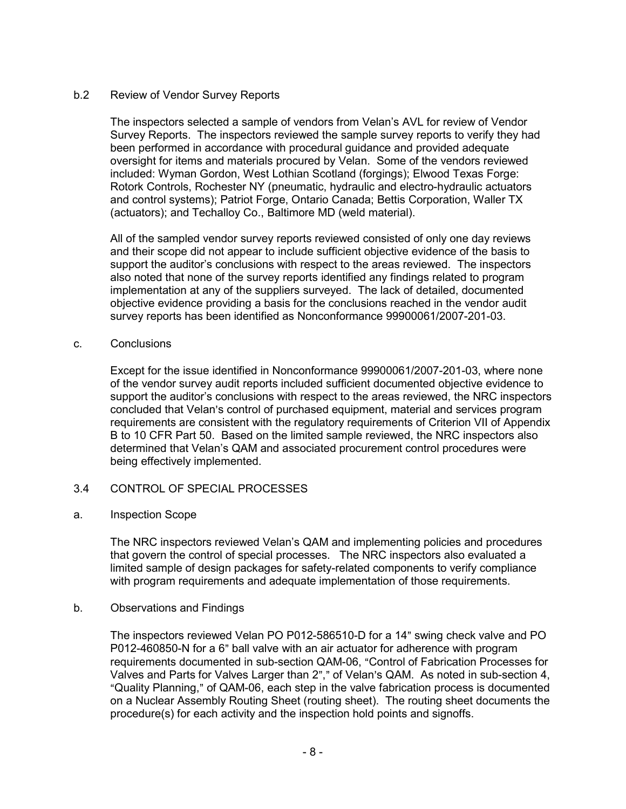## b.2 Review of Vendor Survey Reports

The inspectors selected a sample of vendors from Velan's AVL for review of Vendor Survey Reports. The inspectors reviewed the sample survey reports to verify they had been performed in accordance with procedural guidance and provided adequate oversight for items and materials procured by Velan. Some of the vendors reviewed included: Wyman Gordon, West Lothian Scotland (forgings); Elwood Texas Forge: Rotork Controls, Rochester NY (pneumatic, hydraulic and electro-hydraulic actuators and control systems); Patriot Forge, Ontario Canada; Bettis Corporation, Waller TX (actuators); and Techalloy Co., Baltimore MD (weld material).

All of the sampled vendor survey reports reviewed consisted of only one day reviews and their scope did not appear to include sufficient objective evidence of the basis to support the auditor's conclusions with respect to the areas reviewed. The inspectors also noted that none of the survey reports identified any findings related to program implementation at any of the suppliers surveyed. The lack of detailed, documented objective evidence providing a basis for the conclusions reached in the vendor audit survey reports has been identified as Nonconformance 99900061/2007-201-03.

#### c. Conclusions

Except for the issue identified in Nonconformance 99900061/2007-201-03, where none of the vendor survey audit reports included sufficient documented objective evidence to support the auditor's conclusions with respect to the areas reviewed, the NRC inspectors concluded that Velan's control of purchased equipment, material and services program requirements are consistent with the regulatory requirements of Criterion VII of Appendix B to 10 CFR Part 50. Based on the limited sample reviewed, the NRC inspectors also determined that Velan's QAM and associated procurement control procedures were being effectively implemented.

## 3.4 CONTROL OF SPECIAL PROCESSES

#### a. Inspection Scope

The NRC inspectors reviewed Velan's QAM and implementing policies and procedures that govern the control of special processes. The NRC inspectors also evaluated a limited sample of design packages for safety-related components to verify compliance with program requirements and adequate implementation of those requirements.

#### b. Observations and Findings

The inspectors reviewed Velan PO P012-586510-D for a 14" swing check valve and PO P012-460850-N for a 6" ball valve with an air actuator for adherence with program requirements documented in sub-section QAM-06, "Control of Fabrication Processes for Valves and Parts for Valves Larger than 2"," of Velan's QAM. As noted in sub-section 4, "Quality Planning," of QAM-06, each step in the valve fabrication process is documented on a Nuclear Assembly Routing Sheet (routing sheet). The routing sheet documents the procedure(s) for each activity and the inspection hold points and signoffs.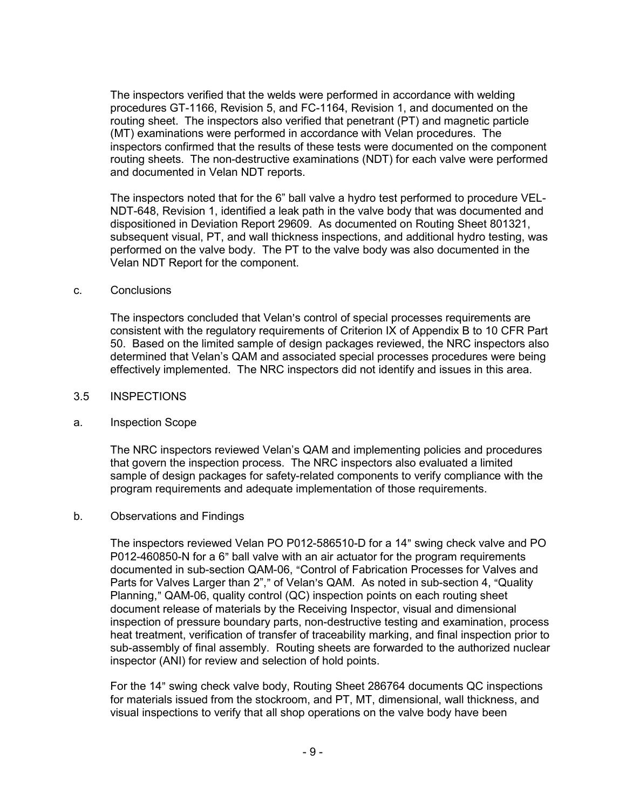The inspectors verified that the welds were performed in accordance with welding procedures GT-1166, Revision 5, and FC-1164, Revision 1, and documented on the routing sheet. The inspectors also verified that penetrant (PT) and magnetic particle (MT) examinations were performed in accordance with Velan procedures. The inspectors confirmed that the results of these tests were documented on the component routing sheets. The non-destructive examinations (NDT) for each valve were performed and documented in Velan NDT reports.

The inspectors noted that for the 6" ball valve a hydro test performed to procedure VEL-NDT-648, Revision 1, identified a leak path in the valve body that was documented and dispositioned in Deviation Report 29609. As documented on Routing Sheet 801321, subsequent visual, PT, and wall thickness inspections, and additional hydro testing, was performed on the valve body. The PT to the valve body was also documented in the Velan NDT Report for the component.

#### c. Conclusions

The inspectors concluded that Velan's control of special processes requirements are consistent with the regulatory requirements of Criterion IX of Appendix B to 10 CFR Part 50. Based on the limited sample of design packages reviewed, the NRC inspectors also determined that Velan's QAM and associated special processes procedures were being effectively implemented. The NRC inspectors did not identify and issues in this area.

### 3.5 INSPECTIONS

#### a. Inspection Scope

The NRC inspectors reviewed Velan's QAM and implementing policies and procedures that govern the inspection process. The NRC inspectors also evaluated a limited sample of design packages for safety-related components to verify compliance with the program requirements and adequate implementation of those requirements.

#### b. Observations and Findings

The inspectors reviewed Velan PO P012-586510-D for a 14" swing check valve and PO P012-460850-N for a 6" ball valve with an air actuator for the program requirements documented in sub-section QAM-06, "Control of Fabrication Processes for Valves and Parts for Valves Larger than 2"," of Velan's QAM. As noted in sub-section 4, "Quality Planning," QAM-06, quality control (QC) inspection points on each routing sheet document release of materials by the Receiving Inspector, visual and dimensional inspection of pressure boundary parts, non-destructive testing and examination, process heat treatment, verification of transfer of traceability marking, and final inspection prior to sub-assembly of final assembly. Routing sheets are forwarded to the authorized nuclear inspector (ANI) for review and selection of hold points.

For the 14" swing check valve body, Routing Sheet 286764 documents QC inspections for materials issued from the stockroom, and PT, MT, dimensional, wall thickness, and visual inspections to verify that all shop operations on the valve body have been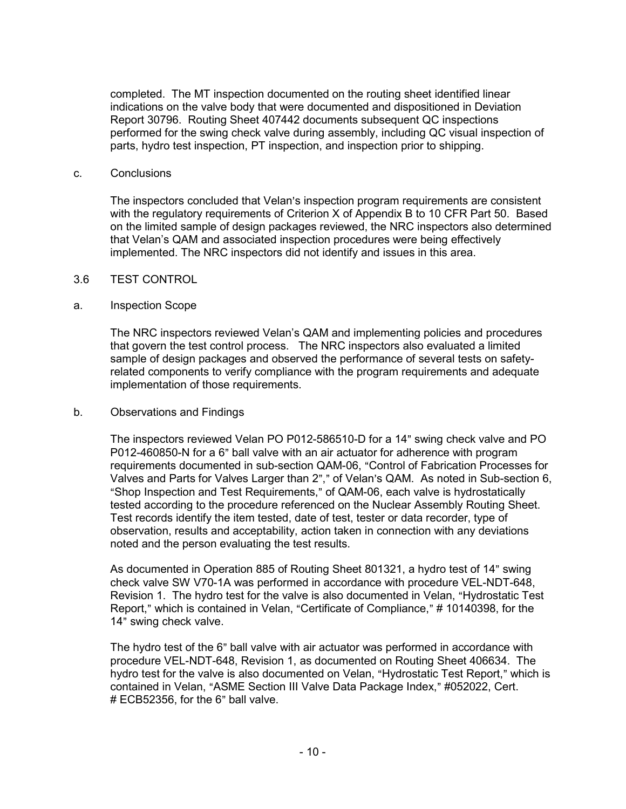completed. The MT inspection documented on the routing sheet identified linear indications on the valve body that were documented and dispositioned in Deviation Report 30796. Routing Sheet 407442 documents subsequent QC inspections performed for the swing check valve during assembly, including QC visual inspection of parts, hydro test inspection, PT inspection, and inspection prior to shipping.

#### c. Conclusions

The inspectors concluded that Velan's inspection program requirements are consistent with the regulatory requirements of Criterion X of Appendix B to 10 CFR Part 50. Based on the limited sample of design packages reviewed, the NRC inspectors also determined that Velan's QAM and associated inspection procedures were being effectively implemented. The NRC inspectors did not identify and issues in this area.

#### 3.6 TEST CONTROL

#### a. Inspection Scope

The NRC inspectors reviewed Velan's QAM and implementing policies and procedures that govern the test control process. The NRC inspectors also evaluated a limited sample of design packages and observed the performance of several tests on safetyrelated components to verify compliance with the program requirements and adequate implementation of those requirements.

#### b. Observations and Findings

The inspectors reviewed Velan PO P012-586510-D for a 14" swing check valve and PO P012-460850-N for a 6" ball valve with an air actuator for adherence with program requirements documented in sub-section QAM-06, "Control of Fabrication Processes for Valves and Parts for Valves Larger than 2"," of Velan's QAM. As noted in Sub-section 6, "Shop Inspection and Test Requirements," of QAM-06, each valve is hydrostatically tested according to the procedure referenced on the Nuclear Assembly Routing Sheet. Test records identify the item tested, date of test, tester or data recorder, type of observation, results and acceptability, action taken in connection with any deviations noted and the person evaluating the test results.

As documented in Operation 885 of Routing Sheet 801321, a hydro test of 14" swing check valve SW V70-1A was performed in accordance with procedure VEL-NDT-648, Revision 1. The hydro test for the valve is also documented in Velan, "Hydrostatic Test Report," which is contained in Velan, "Certificate of Compliance," # 10140398, for the 14" swing check valve.

The hydro test of the 6" ball valve with air actuator was performed in accordance with procedure VEL-NDT-648, Revision 1, as documented on Routing Sheet 406634. The hydro test for the valve is also documented on Velan, "Hydrostatic Test Report," which is contained in Velan, "ASME Section III Valve Data Package Index," #052022, Cert.  $#$  ECB52356, for the 6" ball valve.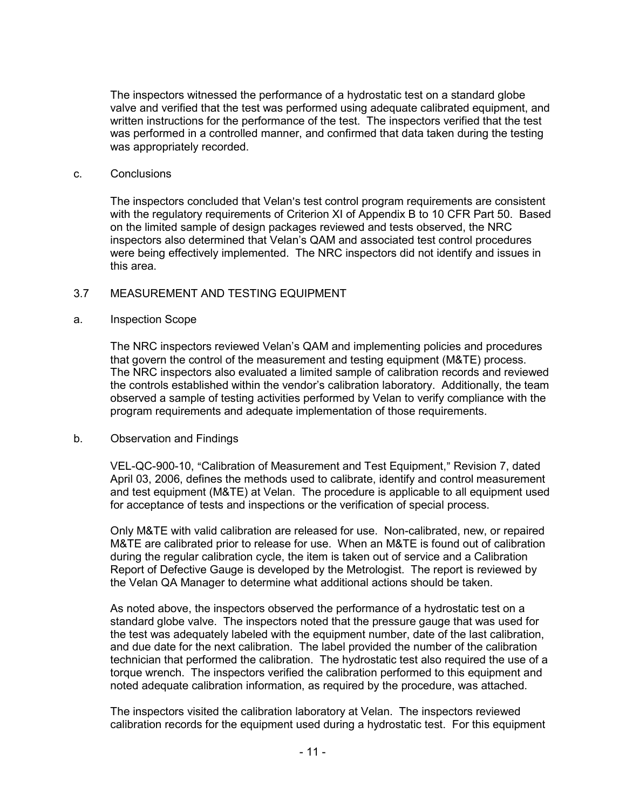The inspectors witnessed the performance of a hydrostatic test on a standard globe valve and verified that the test was performed using adequate calibrated equipment, and written instructions for the performance of the test. The inspectors verified that the test was performed in a controlled manner, and confirmed that data taken during the testing was appropriately recorded.

#### c. Conclusions

The inspectors concluded that Velan's test control program requirements are consistent with the regulatory requirements of Criterion XI of Appendix B to 10 CFR Part 50. Based on the limited sample of design packages reviewed and tests observed, the NRC inspectors also determined that Velan's QAM and associated test control procedures were being effectively implemented. The NRC inspectors did not identify and issues in this area.

## 3.7 MEASUREMENT AND TESTING EQUIPMENT

### a. Inspection Scope

The NRC inspectors reviewed Velan's QAM and implementing policies and procedures that govern the control of the measurement and testing equipment (M&TE) process. The NRC inspectors also evaluated a limited sample of calibration records and reviewed the controls established within the vendor's calibration laboratory. Additionally, the team observed a sample of testing activities performed by Velan to verify compliance with the program requirements and adequate implementation of those requirements.

## b. Observation and Findings

VEL-QC-900-10, "Calibration of Measurement and Test Equipment," Revision 7, dated April 03, 2006, defines the methods used to calibrate, identify and control measurement and test equipment (M&TE) at Velan. The procedure is applicable to all equipment used for acceptance of tests and inspections or the verification of special process.

Only M&TE with valid calibration are released for use. Non-calibrated, new, or repaired M&TE are calibrated prior to release for use. When an M&TE is found out of calibration during the regular calibration cycle, the item is taken out of service and a Calibration Report of Defective Gauge is developed by the Metrologist. The report is reviewed by the Velan QA Manager to determine what additional actions should be taken.

As noted above, the inspectors observed the performance of a hydrostatic test on a standard globe valve. The inspectors noted that the pressure gauge that was used for the test was adequately labeled with the equipment number, date of the last calibration, and due date for the next calibration. The label provided the number of the calibration technician that performed the calibration. The hydrostatic test also required the use of a torque wrench. The inspectors verified the calibration performed to this equipment and noted adequate calibration information, as required by the procedure, was attached.

The inspectors visited the calibration laboratory at Velan. The inspectors reviewed calibration records for the equipment used during a hydrostatic test. For this equipment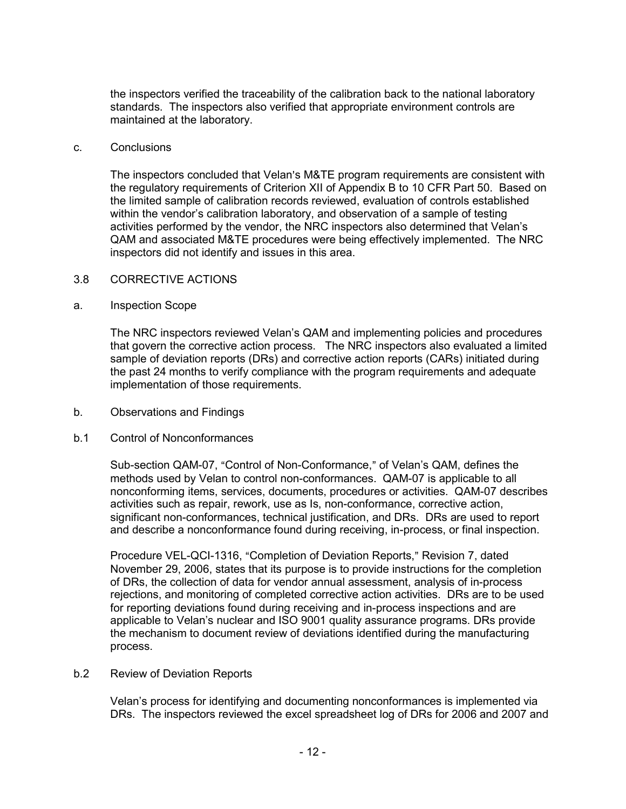the inspectors verified the traceability of the calibration back to the national laboratory standards. The inspectors also verified that appropriate environment controls are maintained at the laboratory.

#### c. Conclusions

The inspectors concluded that Velan's M&TE program requirements are consistent with the regulatory requirements of Criterion XII of Appendix B to 10 CFR Part 50. Based on the limited sample of calibration records reviewed, evaluation of controls established within the vendor's calibration laboratory, and observation of a sample of testing activities performed by the vendor, the NRC inspectors also determined that Velan's QAM and associated M&TE procedures were being effectively implemented. The NRC inspectors did not identify and issues in this area.

#### 3.8 CORRECTIVE ACTIONS

#### a. Inspection Scope

The NRC inspectors reviewed Velan's QAM and implementing policies and procedures that govern the corrective action process. The NRC inspectors also evaluated a limited sample of deviation reports (DRs) and corrective action reports (CARs) initiated during the past 24 months to verify compliance with the program requirements and adequate implementation of those requirements.

b. Observations and Findings

## b.1 Control of Nonconformances

Sub-section QAM-07, "Control of Non-Conformance," of Velan's QAM, defines the methods used by Velan to control non-conformances. QAM-07 is applicable to all nonconforming items, services, documents, procedures or activities. QAM-07 describes activities such as repair, rework, use as Is, non-conformance, corrective action, significant non-conformances, technical justification, and DRs. DRs are used to report and describe a nonconformance found during receiving, in-process, or final inspection.

Procedure VEL-QCI-1316, "Completion of Deviation Reports," Revision 7, dated November 29, 2006, states that its purpose is to provide instructions for the completion of DRs, the collection of data for vendor annual assessment, analysis of in-process rejections, and monitoring of completed corrective action activities. DRs are to be used for reporting deviations found during receiving and in-process inspections and are applicable to Velan's nuclear and ISO 9001 quality assurance programs. DRs provide the mechanism to document review of deviations identified during the manufacturing process.

#### b.2 Review of Deviation Reports

Velan's process for identifying and documenting nonconformances is implemented via DRs. The inspectors reviewed the excel spreadsheet log of DRs for 2006 and 2007 and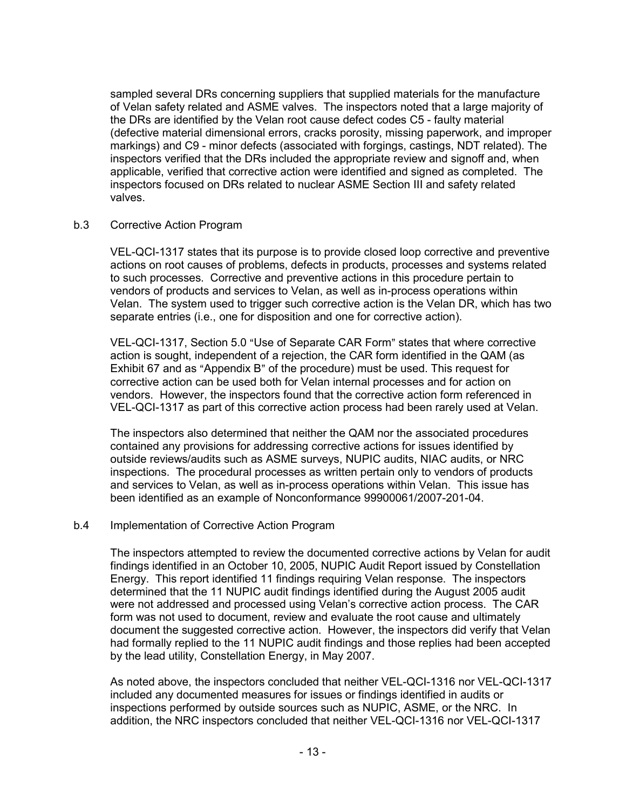sampled several DRs concerning suppliers that supplied materials for the manufacture of Velan safety related and ASME valves. The inspectors noted that a large majority of the DRs are identified by the Velan root cause defect codes C5 - faulty material (defective material dimensional errors, cracks porosity, missing paperwork, and improper markings) and C9 - minor defects (associated with forgings, castings, NDT related). The inspectors verified that the DRs included the appropriate review and signoff and, when applicable, verified that corrective action were identified and signed as completed. The inspectors focused on DRs related to nuclear ASME Section III and safety related valves.

## b.3 Corrective Action Program

VEL-QCI-1317 states that its purpose is to provide closed loop corrective and preventive actions on root causes of problems, defects in products, processes and systems related to such processes. Corrective and preventive actions in this procedure pertain to vendors of products and services to Velan, as well as in-process operations within Velan. The system used to trigger such corrective action is the Velan DR, which has two separate entries (i.e., one for disposition and one for corrective action).

VEL-QCI-1317, Section 5.0 "Use of Separate CAR Form" states that where corrective action is sought, independent of a rejection, the CAR form identified in the QAM (as Exhibit 67 and as "Appendix B" of the procedure) must be used. This request for corrective action can be used both for Velan internal processes and for action on vendors. However, the inspectors found that the corrective action form referenced in VEL-QCI-1317 as part of this corrective action process had been rarely used at Velan.

The inspectors also determined that neither the QAM nor the associated procedures contained any provisions for addressing corrective actions for issues identified by outside reviews/audits such as ASME surveys, NUPIC audits, NIAC audits, or NRC inspections. The procedural processes as written pertain only to vendors of products and services to Velan, as well as in-process operations within Velan. This issue has been identified as an example of Nonconformance 99900061/2007-201-04.

#### b.4 Implementation of Corrective Action Program

The inspectors attempted to review the documented corrective actions by Velan for audit findings identified in an October 10, 2005, NUPIC Audit Report issued by Constellation Energy. This report identified 11 findings requiring Velan response. The inspectors determined that the 11 NUPIC audit findings identified during the August 2005 audit were not addressed and processed using Velan's corrective action process. The CAR form was not used to document, review and evaluate the root cause and ultimately document the suggested corrective action. However, the inspectors did verify that Velan had formally replied to the 11 NUPIC audit findings and those replies had been accepted by the lead utility, Constellation Energy, in May 2007.

As noted above, the inspectors concluded that neither VEL-QCI-1316 nor VEL-QCI-1317 included any documented measures for issues or findings identified in audits or inspections performed by outside sources such as NUPIC, ASME, or the NRC. In addition, the NRC inspectors concluded that neither VEL-QCI-1316 nor VEL-QCI-1317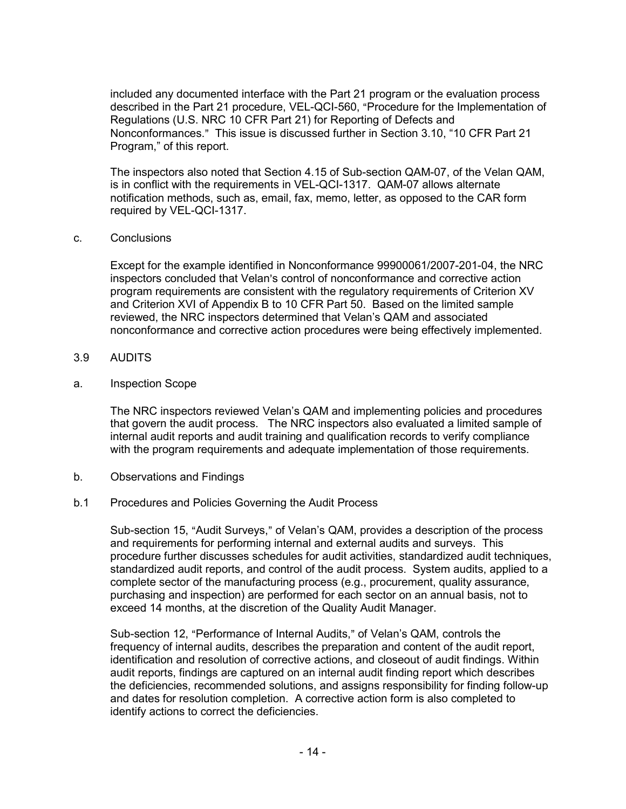included any documented interface with the Part 21 program or the evaluation process described in the Part 21 procedure, VEL-QCI-560, "Procedure for the Implementation of Regulations (U.S. NRC 10 CFR Part 21) for Reporting of Defects and Nonconformances." This issue is discussed further in Section 3.10, "10 CFR Part 21 Program," of this report.

The inspectors also noted that Section 4.15 of Sub-section QAM-07, of the Velan QAM, is in conflict with the requirements in VEL-QCI-1317. QAM-07 allows alternate notification methods, such as, email, fax, memo, letter, as opposed to the CAR form required by VEL-QCI-1317.

### c. Conclusions

Except for the example identified in Nonconformance 99900061/2007-201-04, the NRC inspectors concluded that Velan's control of nonconformance and corrective action program requirements are consistent with the regulatory requirements of Criterion XV and Criterion XVI of Appendix B to 10 CFR Part 50. Based on the limited sample reviewed, the NRC inspectors determined that Velan's QAM and associated nonconformance and corrective action procedures were being effectively implemented.

- 3.9 AUDITS
- a. Inspection Scope

The NRC inspectors reviewed Velan's QAM and implementing policies and procedures that govern the audit process. The NRC inspectors also evaluated a limited sample of internal audit reports and audit training and qualification records to verify compliance with the program requirements and adequate implementation of those requirements.

- b. Observations and Findings
- b.1 Procedures and Policies Governing the Audit Process

Sub-section 15, "Audit Surveys," of Velan's QAM, provides a description of the process and requirements for performing internal and external audits and surveys. This procedure further discusses schedules for audit activities, standardized audit techniques, standardized audit reports, and control of the audit process. System audits, applied to a complete sector of the manufacturing process (e.g., procurement, quality assurance, purchasing and inspection) are performed for each sector on an annual basis, not to exceed 14 months, at the discretion of the Quality Audit Manager.

Sub-section 12, "Performance of Internal Audits," of Velan's QAM, controls the frequency of internal audits, describes the preparation and content of the audit report, identification and resolution of corrective actions, and closeout of audit findings. Within audit reports, findings are captured on an internal audit finding report which describes the deficiencies, recommended solutions, and assigns responsibility for finding follow-up and dates for resolution completion. A corrective action form is also completed to identify actions to correct the deficiencies.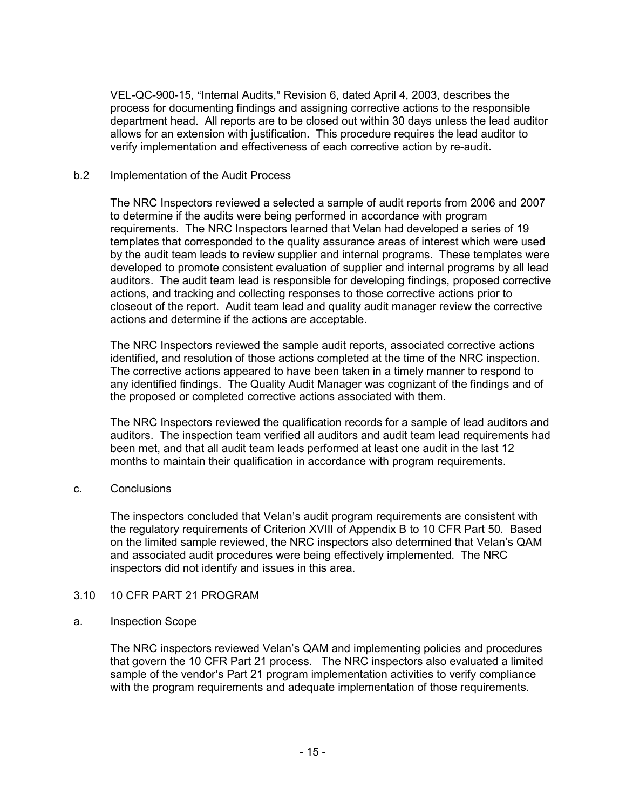VEL-QC-900-15, "Internal Audits," Revision 6, dated April 4, 2003, describes the process for documenting findings and assigning corrective actions to the responsible department head. All reports are to be closed out within 30 days unless the lead auditor allows for an extension with justification. This procedure requires the lead auditor to verify implementation and effectiveness of each corrective action by re-audit.

### b.2 Implementation of the Audit Process

The NRC Inspectors reviewed a selected a sample of audit reports from 2006 and 2007 to determine if the audits were being performed in accordance with program requirements. The NRC Inspectors learned that Velan had developed a series of 19 templates that corresponded to the quality assurance areas of interest which were used by the audit team leads to review supplier and internal programs. These templates were developed to promote consistent evaluation of supplier and internal programs by all lead auditors. The audit team lead is responsible for developing findings, proposed corrective actions, and tracking and collecting responses to those corrective actions prior to closeout of the report. Audit team lead and quality audit manager review the corrective actions and determine if the actions are acceptable.

The NRC Inspectors reviewed the sample audit reports, associated corrective actions identified, and resolution of those actions completed at the time of the NRC inspection. The corrective actions appeared to have been taken in a timely manner to respond to any identified findings. The Quality Audit Manager was cognizant of the findings and of the proposed or completed corrective actions associated with them.

The NRC Inspectors reviewed the qualification records for a sample of lead auditors and auditors. The inspection team verified all auditors and audit team lead requirements had been met, and that all audit team leads performed at least one audit in the last 12 months to maintain their qualification in accordance with program requirements.

c. Conclusions

The inspectors concluded that Velan's audit program requirements are consistent with the regulatory requirements of Criterion XVIII of Appendix B to 10 CFR Part 50. Based on the limited sample reviewed, the NRC inspectors also determined that Velan's QAM and associated audit procedures were being effectively implemented. The NRC inspectors did not identify and issues in this area.

## 3.10 10 CFR PART 21 PROGRAM

#### a. Inspection Scope

The NRC inspectors reviewed Velan's QAM and implementing policies and procedures that govern the 10 CFR Part 21 process. The NRC inspectors also evaluated a limited sample of the vendor's Part 21 program implementation activities to verify compliance with the program requirements and adequate implementation of those requirements.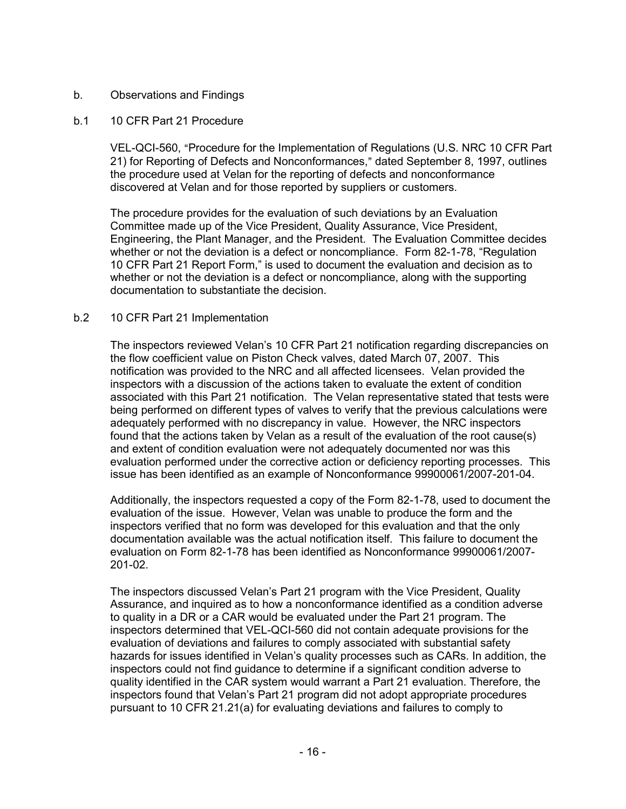## b. Observations and Findings

## b.1 10 CFR Part 21 Procedure

VEL-QCI-560, "Procedure for the Implementation of Regulations (U.S. NRC 10 CFR Part 21) for Reporting of Defects and Nonconformances," dated September 8, 1997, outlines the procedure used at Velan for the reporting of defects and nonconformance discovered at Velan and for those reported by suppliers or customers.

The procedure provides for the evaluation of such deviations by an Evaluation Committee made up of the Vice President, Quality Assurance, Vice President, Engineering, the Plant Manager, and the President. The Evaluation Committee decides whether or not the deviation is a defect or noncompliance. Form 82-1-78, "Regulation 10 CFR Part 21 Report Form," is used to document the evaluation and decision as to whether or not the deviation is a defect or noncompliance, along with the supporting documentation to substantiate the decision.

## b.2 10 CFR Part 21 Implementation

The inspectors reviewed Velan's 10 CFR Part 21 notification regarding discrepancies on the flow coefficient value on Piston Check valves, dated March 07, 2007. This notification was provided to the NRC and all affected licensees. Velan provided the inspectors with a discussion of the actions taken to evaluate the extent of condition associated with this Part 21 notification. The Velan representative stated that tests were being performed on different types of valves to verify that the previous calculations were adequately performed with no discrepancy in value. However, the NRC inspectors found that the actions taken by Velan as a result of the evaluation of the root cause(s) and extent of condition evaluation were not adequately documented nor was this evaluation performed under the corrective action or deficiency reporting processes. This issue has been identified as an example of Nonconformance 99900061/2007-201-04.

Additionally, the inspectors requested a copy of the Form 82-1-78, used to document the evaluation of the issue. However, Velan was unable to produce the form and the inspectors verified that no form was developed for this evaluation and that the only documentation available was the actual notification itself. This failure to document the evaluation on Form 82-1-78 has been identified as Nonconformance 99900061/2007- 201-02.

The inspectors discussed Velan's Part 21 program with the Vice President, Quality Assurance, and inquired as to how a nonconformance identified as a condition adverse to quality in a DR or a CAR would be evaluated under the Part 21 program. The inspectors determined that VEL-QCI-560 did not contain adequate provisions for the evaluation of deviations and failures to comply associated with substantial safety hazards for issues identified in Velan's quality processes such as CARs. In addition, the inspectors could not find guidance to determine if a significant condition adverse to quality identified in the CAR system would warrant a Part 21 evaluation. Therefore, the inspectors found that Velan's Part 21 program did not adopt appropriate procedures pursuant to 10 CFR 21.21(a) for evaluating deviations and failures to comply to